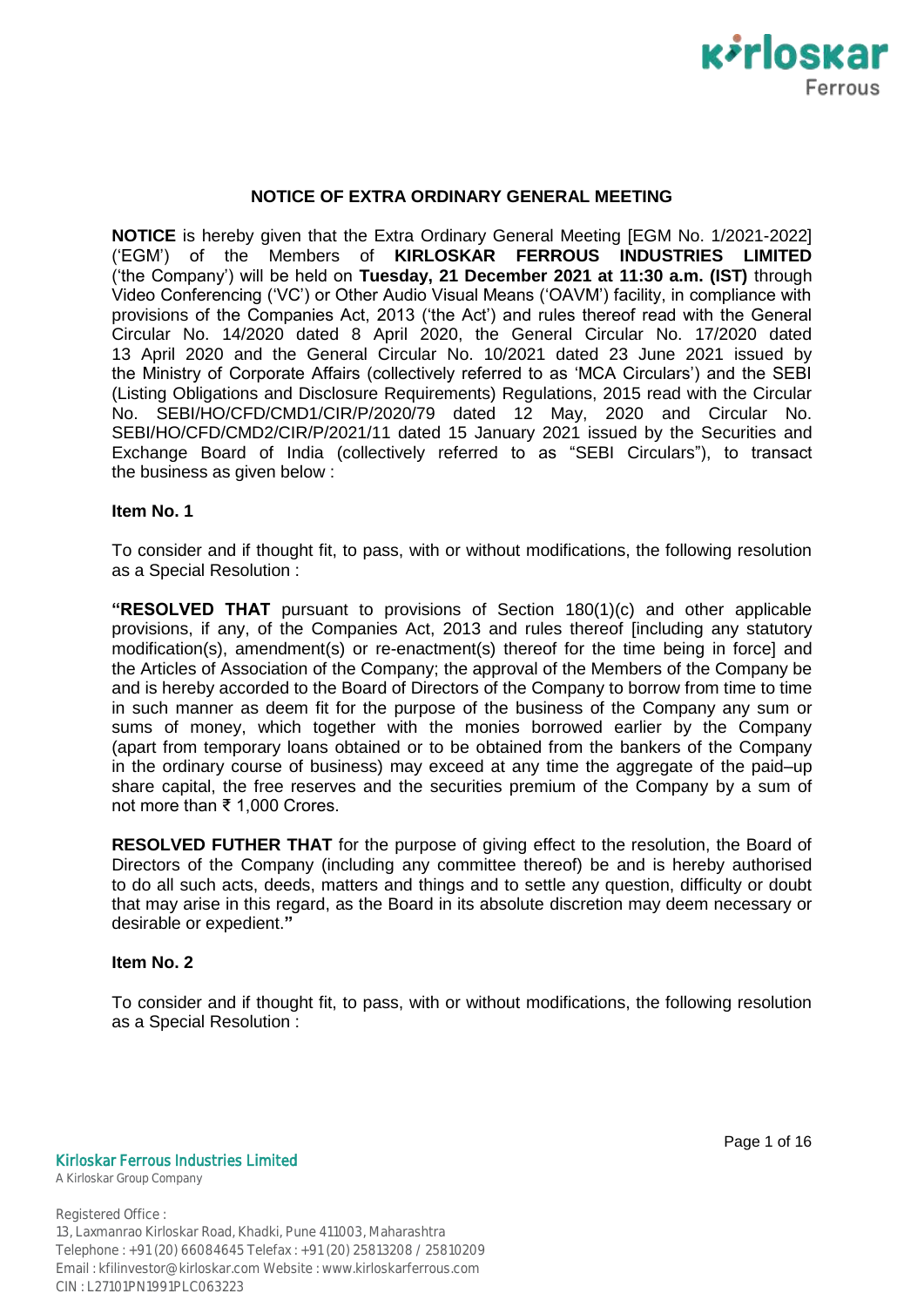

## **NOTICE OF EXTRA ORDINARY GENERAL MEETING**

**NOTICE** is hereby given that the Extra Ordinary General Meeting [EGM No. 1/2021-2022] ("EGM") of the Members of **KIRLOSKAR FERROUS INDUSTRIES LIMITED** ("the Company") will be held on **Tuesday, 21 December 2021 at 11:30 a.m. (IST)** through Video Conferencing ("VC") or Other Audio Visual Means ("OAVM") facility, in compliance with provisions of the Companies Act, 2013 ("the Act") and rules thereof read with the General Circular No. 14/2020 dated 8 April 2020, the General Circular No. 17/2020 dated 13 April 2020 and the General Circular No. 10/2021 dated 23 June 2021 issued by the Ministry of Corporate Affairs (collectively referred to as "MCA Circulars") and the SEBI (Listing Obligations and Disclosure Requirements) Regulations, 2015 read with the Circular No. SEBI/HO/CFD/CMD1/CIR/P/2020/79 dated 12 May, 2020 and Circular No. SEBI/HO/CFD/CMD2/CIR/P/2021/11 dated 15 January 2021 issued by the Securities and Exchange Board of India (collectively referred to as "SEBI Circulars"), to transact the business as given below :

#### **Item No. 1**

To consider and if thought fit, to pass, with or without modifications, the following resolution as a Special Resolution :

**"RESOLVED THAT** pursuant to provisions of Section 180(1)(c) and other applicable provisions, if any, of the Companies Act, 2013 and rules thereof [including any statutory modification(s), amendment(s) or re-enactment(s) thereof for the time being in force] and the Articles of Association of the Company; the approval of the Members of the Company be and is hereby accorded to the Board of Directors of the Company to borrow from time to time in such manner as deem fit for the purpose of the business of the Company any sum or sums of money, which together with the monies borrowed earlier by the Company (apart from temporary loans obtained or to be obtained from the bankers of the Company in the ordinary course of business) may exceed at any time the aggregate of the paid–up share capital, the free reserves and the securities premium of the Company by a sum of not more than ₹ 1,000 Crores.

**RESOLVED FUTHER THAT** for the purpose of giving effect to the resolution, the Board of Directors of the Company (including any committee thereof) be and is hereby authorised to do all such acts, deeds, matters and things and to settle any question, difficulty or doubt that may arise in this regard, as the Board in its absolute discretion may deem necessary or desirable or expedient.**"**

#### **Item No. 2**

To consider and if thought fit, to pass, with or without modifications, the following resolution as a Special Resolution :

#### Kirloskar Ferrous Industries Limited

A Kirloskar Group Company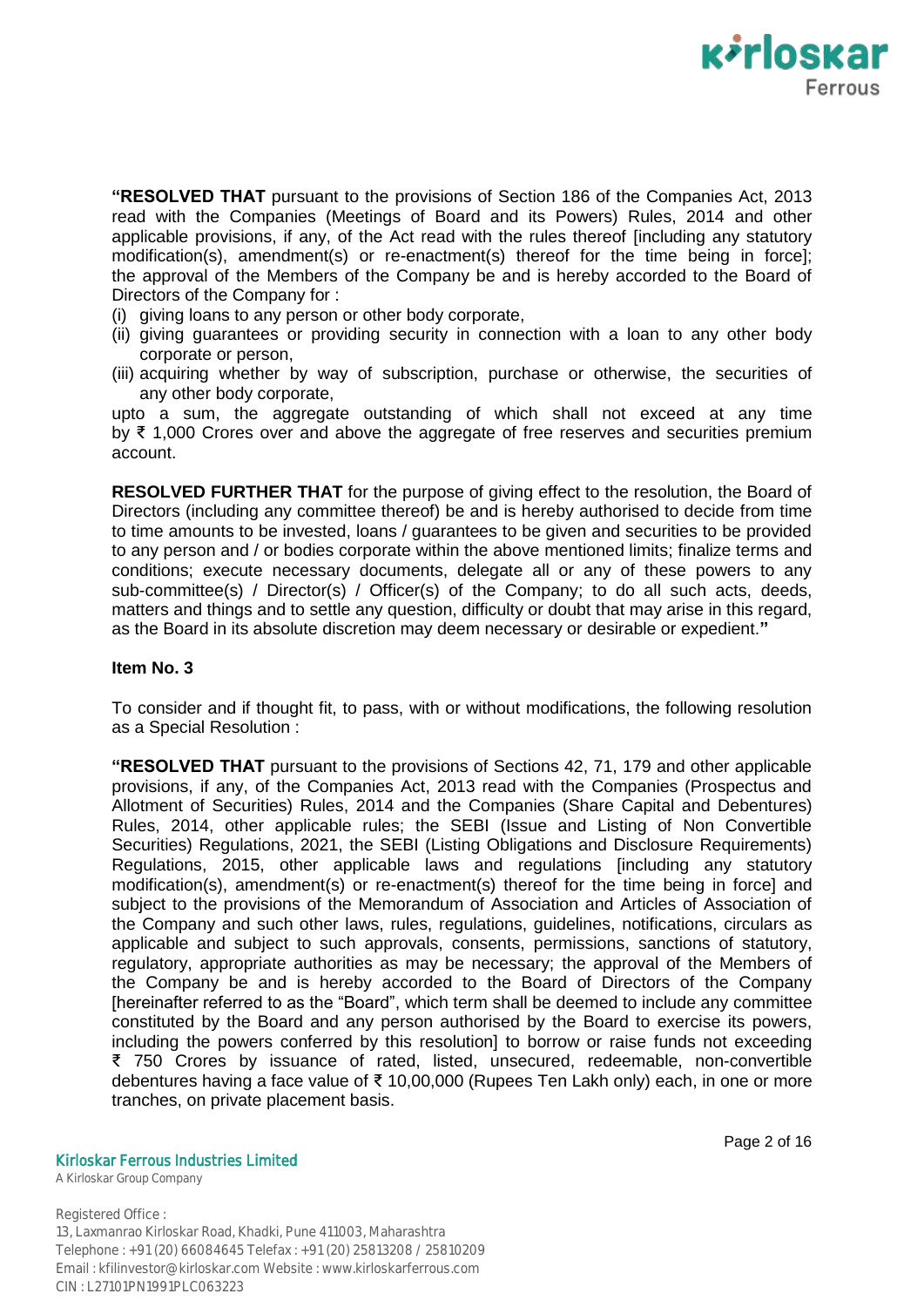

**"RESOLVED THAT** pursuant to the provisions of Section 186 of the Companies Act, 2013 read with the Companies (Meetings of Board and its Powers) Rules, 2014 and other applicable provisions, if any, of the Act read with the rules thereof [including any statutory modification(s), amendment(s) or re-enactment(s) thereof for the time being in force]; the approval of the Members of the Company be and is hereby accorded to the Board of Directors of the Company for :

- (i) giving loans to any person or other body corporate,
- (ii) giving guarantees or providing security in connection with a loan to any other body corporate or person,
- (iii) acquiring whether by way of subscription, purchase or otherwise, the securities of any other body corporate,

upto a sum, the aggregate outstanding of which shall not exceed at any time by ₹ 1,000 Crores over and above the aggregate of free reserves and securities premium account.

**RESOLVED FURTHER THAT** for the purpose of giving effect to the resolution, the Board of Directors (including any committee thereof) be and is hereby authorised to decide from time to time amounts to be invested, loans / guarantees to be given and securities to be provided to any person and / or bodies corporate within the above mentioned limits; finalize terms and conditions; execute necessary documents, delegate all or any of these powers to any sub-committee(s) / Director(s) / Officer(s) of the Company; to do all such acts, deeds, matters and things and to settle any question, difficulty or doubt that may arise in this regard, as the Board in its absolute discretion may deem necessary or desirable or expedient.**"**

## **Item No. 3**

To consider and if thought fit, to pass, with or without modifications, the following resolution as a Special Resolution :

**"RESOLVED THAT** pursuant to the provisions of Sections 42, 71, 179 and other applicable provisions, if any, of the Companies Act, 2013 read with the Companies (Prospectus and Allotment of Securities) Rules, 2014 and the Companies (Share Capital and Debentures) Rules, 2014, other applicable rules; the SEBI (Issue and Listing of Non Convertible Securities) Regulations, 2021, the SEBI (Listing Obligations and Disclosure Requirements) Regulations, 2015, other applicable laws and regulations [including any statutory modification(s), amendment(s) or re-enactment(s) thereof for the time being in force] and subject to the provisions of the Memorandum of Association and Articles of Association of the Company and such other laws, rules, regulations, guidelines, notifications, circulars as applicable and subject to such approvals, consents, permissions, sanctions of statutory, regulatory, appropriate authorities as may be necessary; the approval of the Members of the Company be and is hereby accorded to the Board of Directors of the Company [hereinafter referred to as the "Board", which term shall be deemed to include any committee constituted by the Board and any person authorised by the Board to exercise its powers, including the powers conferred by this resolution] to borrow or raise funds not exceeding ₹ 750 Crores by issuance of rated, listed, unsecured, redeemable, non-convertible debentures having a face value of ₹ 10,00,000 (Rupees Ten Lakh only) each, in one or more tranches, on private placement basis.

Kirloskar Ferrous Industries Limited

A Kirloskar Group Company

Page 2 of 16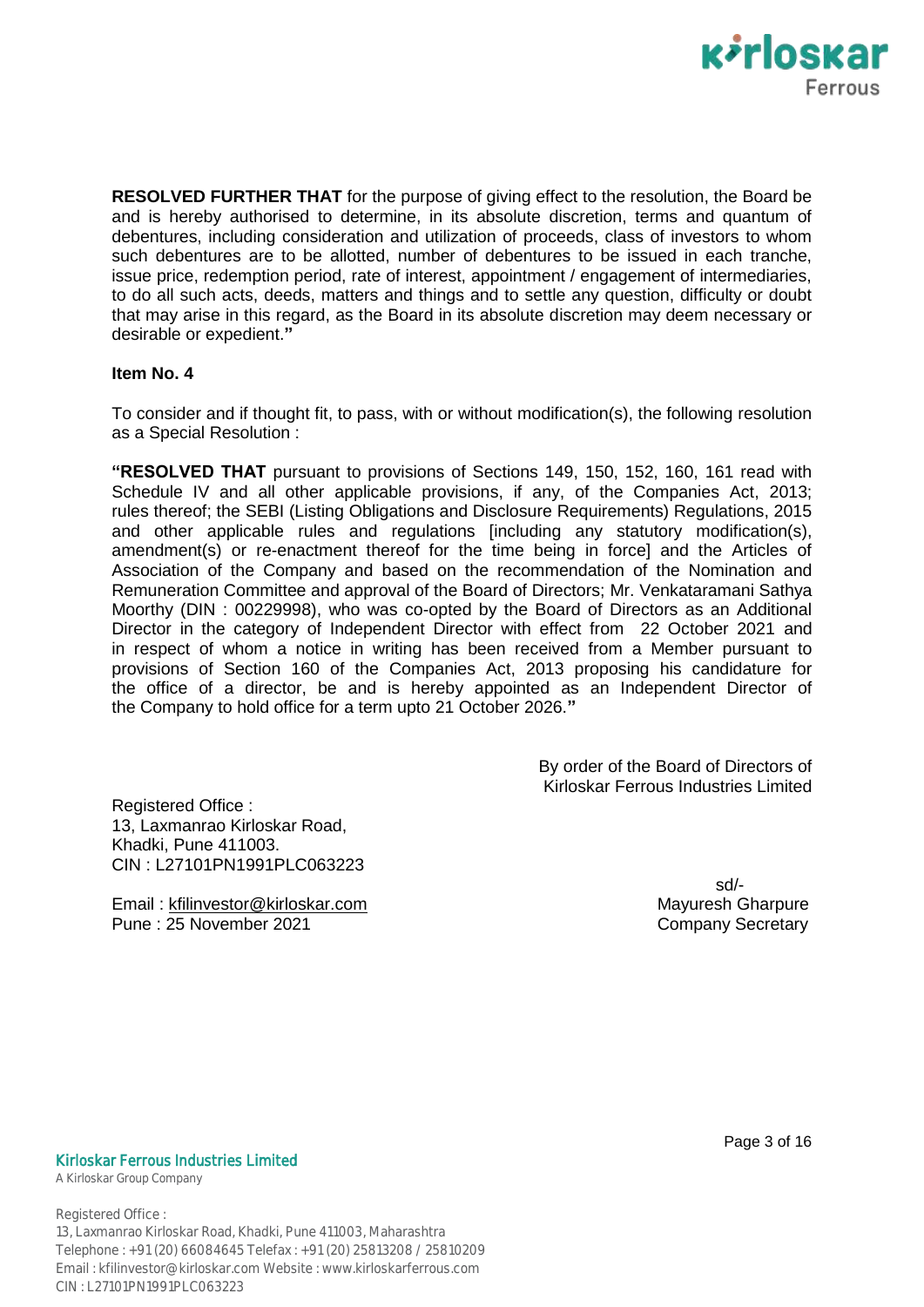

**RESOLVED FURTHER THAT** for the purpose of giving effect to the resolution, the Board be and is hereby authorised to determine, in its absolute discretion, terms and quantum of debentures, including consideration and utilization of proceeds, class of investors to whom such debentures are to be allotted, number of debentures to be issued in each tranche, issue price, redemption period, rate of interest, appointment / engagement of intermediaries, to do all such acts, deeds, matters and things and to settle any question, difficulty or doubt that may arise in this regard, as the Board in its absolute discretion may deem necessary or desirable or expedient.**"**

## **Item No. 4**

To consider and if thought fit, to pass, with or without modification(s), the following resolution as a Special Resolution :

**"RESOLVED THAT** pursuant to provisions of Sections 149, 150, 152, 160, 161 read with Schedule IV and all other applicable provisions, if any, of the Companies Act, 2013; rules thereof; the SEBI (Listing Obligations and Disclosure Requirements) Regulations, 2015 and other applicable rules and regulations [including any statutory modification(s), amendment(s) or re-enactment thereof for the time being in force] and the Articles of Association of the Company and based on the recommendation of the Nomination and Remuneration Committee and approval of the Board of Directors; Mr. Venkataramani Sathya Moorthy (DIN : 00229998), who was co-opted by the Board of Directors as an Additional Director in the category of Independent Director with effect from 22 October 2021 and in respect of whom a notice in writing has been received from a Member pursuant to provisions of Section 160 of the Companies Act, 2013 proposing his candidature for the office of a director, be and is hereby appointed as an Independent Director of the Company to hold office for a term upto 21 October 2026.**"**

> By order of the Board of Directors of Kirloskar Ferrous Industries Limited

Registered Office : 13, Laxmanrao Kirloskar Road, Khadki, Pune 411003. CIN : L27101PN1991PLC063223

Email : kfilinvestor@kirloskar.com Mayuresh Gharpure Pune : 25 November 2021 **Company Secretary** 

sd/-

### Kirloskar Ferrous Industries Limited

A Kirloskar Group Company

Registered Office :

13, Laxmanrao Kirloskar Road, Khadki, Pune 411003, Maharashtra Telephone : +91 (20) 66084645 Telefax : +91 (20) 25813208 / 25810209 Email : kfilinvestor@kirloskar.com Website : www.kirloskarferrous.com CIN : L27101PN1991PLC063223

Page 3 of 16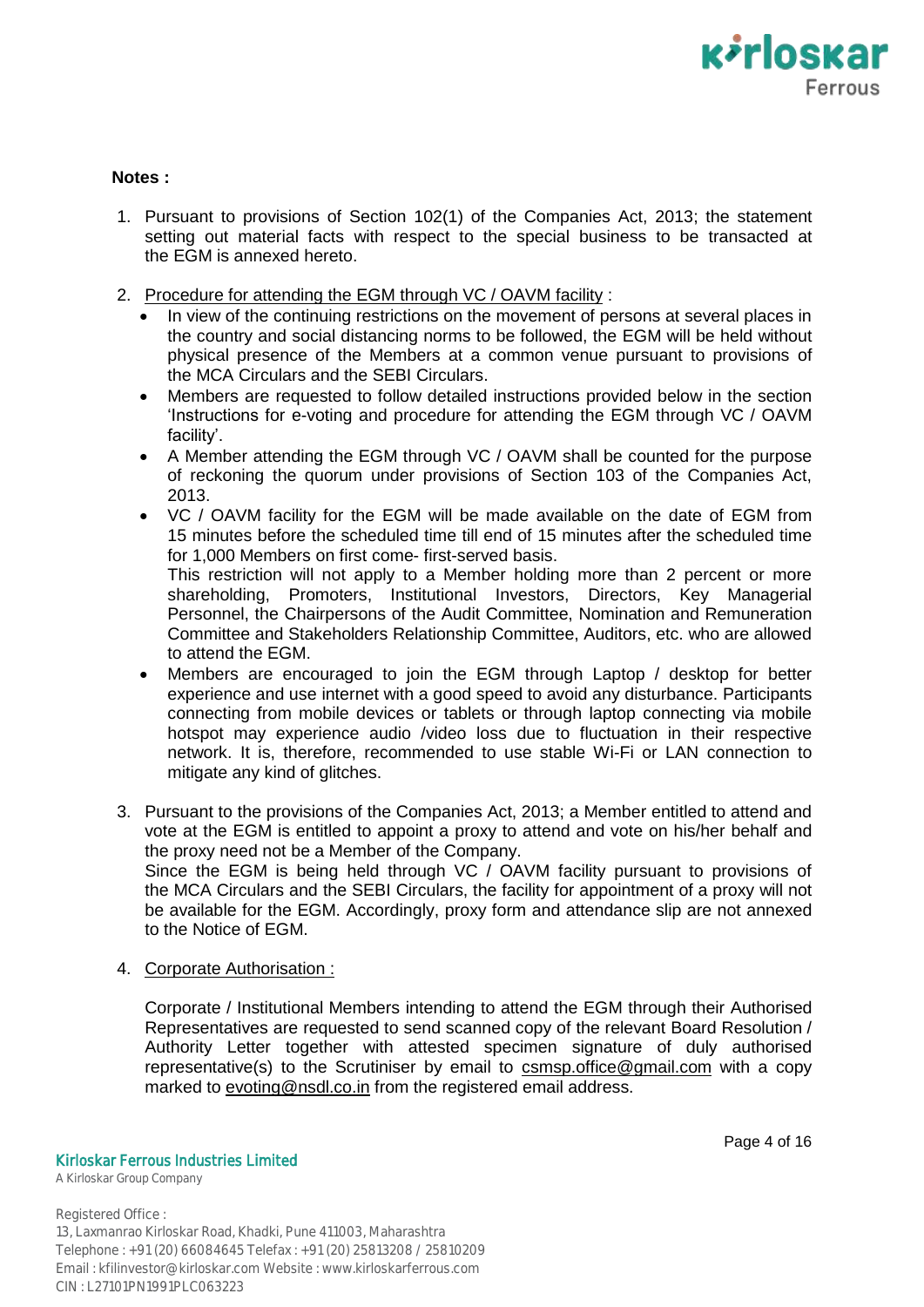

# **Notes :**

- 1. Pursuant to provisions of Section 102(1) of the Companies Act, 2013; the statement setting out material facts with respect to the special business to be transacted at the EGM is annexed hereto.
- 2. Procedure for attending the EGM through VC / OAVM facility :
	- In view of the continuing restrictions on the movement of persons at several places in the country and social distancing norms to be followed, the EGM will be held without physical presence of the Members at a common venue pursuant to provisions of the MCA Circulars and the SEBI Circulars.
	- Members are requested to follow detailed instructions provided below in the section "Instructions for e-voting and procedure for attending the EGM through VC / OAVM facility'.
	- A Member attending the EGM through VC / OAVM shall be counted for the purpose of reckoning the quorum under provisions of Section 103 of the Companies Act, 2013.
	- VC / OAVM facility for the EGM will be made available on the date of EGM from 15 minutes before the scheduled time till end of 15 minutes after the scheduled time for 1,000 Members on first come- first-served basis.

This restriction will not apply to a Member holding more than 2 percent or more shareholding, Promoters, Institutional Investors, Directors, Key Managerial Personnel, the Chairpersons of the Audit Committee, Nomination and Remuneration Committee and Stakeholders Relationship Committee, Auditors, etc. who are allowed to attend the EGM.

- Members are encouraged to join the EGM through Laptop / desktop for better experience and use internet with a good speed to avoid any disturbance. Participants connecting from mobile devices or tablets or through laptop connecting via mobile hotspot may experience audio /video loss due to fluctuation in their respective network. It is, therefore, recommended to use stable Wi-Fi or LAN connection to mitigate any kind of glitches.
- 3. Pursuant to the provisions of the Companies Act, 2013; a Member entitled to attend and vote at the EGM is entitled to appoint a proxy to attend and vote on his/her behalf and the proxy need not be a Member of the Company. Since the EGM is being held through VC / OAVM facility pursuant to provisions of

the MCA Circulars and the SEBI Circulars, the facility for appointment of a proxy will not be available for the EGM. Accordingly, proxy form and attendance slip are not annexed to the Notice of EGM.

4. Corporate Authorisation :

Corporate / Institutional Members intending to attend the EGM through their Authorised Representatives are requested to send scanned copy of the relevant Board Resolution / Authority Letter together with attested specimen signature of duly authorised representative(s) to the Scrutiniser by email to csmsp.office@gmail.com with a copy marked to evoting@nsdl.co.in from the registered email address.

Kirloskar Ferrous Industries Limited

A Kirloskar Group Company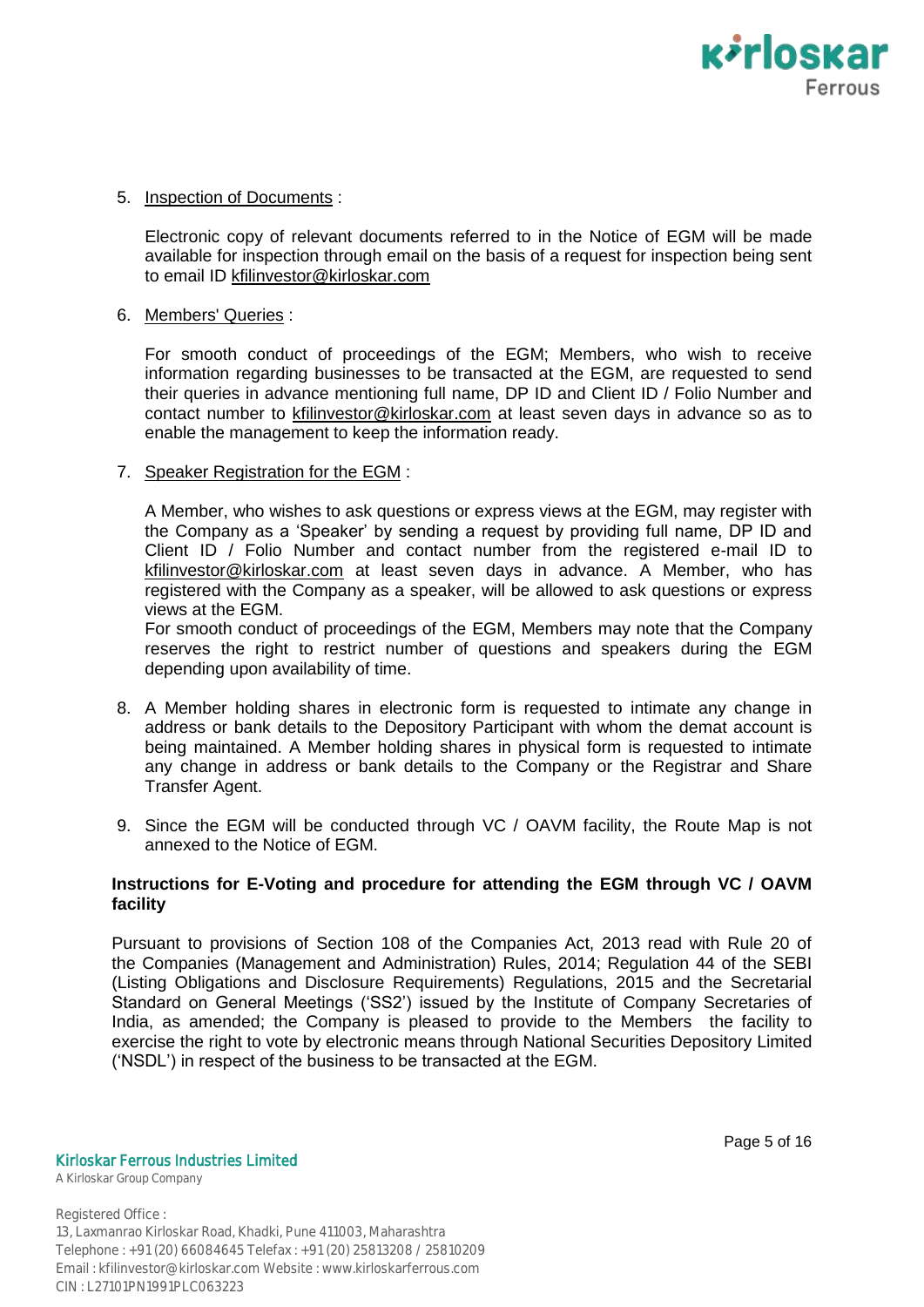

# 5. Inspection of Documents :

Electronic copy of relevant documents referred to in the Notice of EGM will be made available for inspection through email on the basis of a request for inspection being sent to email ID kfilinvestor@kirloskar.com

## 6. Members' Queries :

For smooth conduct of proceedings of the EGM; Members, who wish to receive information regarding businesses to be transacted at the EGM, are requested to send their queries in advance mentioning full name, DP ID and Client ID / Folio Number and contact number to kfilinvestor@kirloskar.com at least seven days in advance so as to enable the management to keep the information ready.

# 7. Speaker Registration for the EGM :

A Member, who wishes to ask questions or express views at the EGM, may register with the Company as a "Speaker" by sending a request by providing full name, DP ID and Client ID / Folio Number and contact number from the registered e-mail ID to kfilinvestor@kirloskar.com at least seven days in advance. A Member, who has registered with the Company as a speaker, will be allowed to ask questions or express views at the EGM.

For smooth conduct of proceedings of the EGM, Members may note that the Company reserves the right to restrict number of questions and speakers during the EGM depending upon availability of time.

- 8. A Member holding shares in electronic form is requested to intimate any change in address or bank details to the Depository Participant with whom the demat account is being maintained. A Member holding shares in physical form is requested to intimate any change in address or bank details to the Company or the Registrar and Share Transfer Agent.
- 9. Since the EGM will be conducted through VC / OAVM facility, the Route Map is not annexed to the Notice of EGM.

# **Instructions for E-Voting and procedure for attending the EGM through VC / OAVM facility**

Pursuant to provisions of Section 108 of the Companies Act, 2013 read with Rule 20 of the Companies (Management and Administration) Rules, 2014; Regulation 44 of the SEBI (Listing Obligations and Disclosure Requirements) Regulations, 2015 and the Secretarial Standard on General Meetings ("SS2") issued by the Institute of Company Secretaries of India, as amended; the Company is pleased to provide to the Members the facility to exercise the right to vote by electronic means through National Securities Depository Limited ("NSDL") in respect of the business to be transacted at the EGM.

Page 5 of 16

Kirloskar Ferrous Industries Limited

A Kirloskar Group Company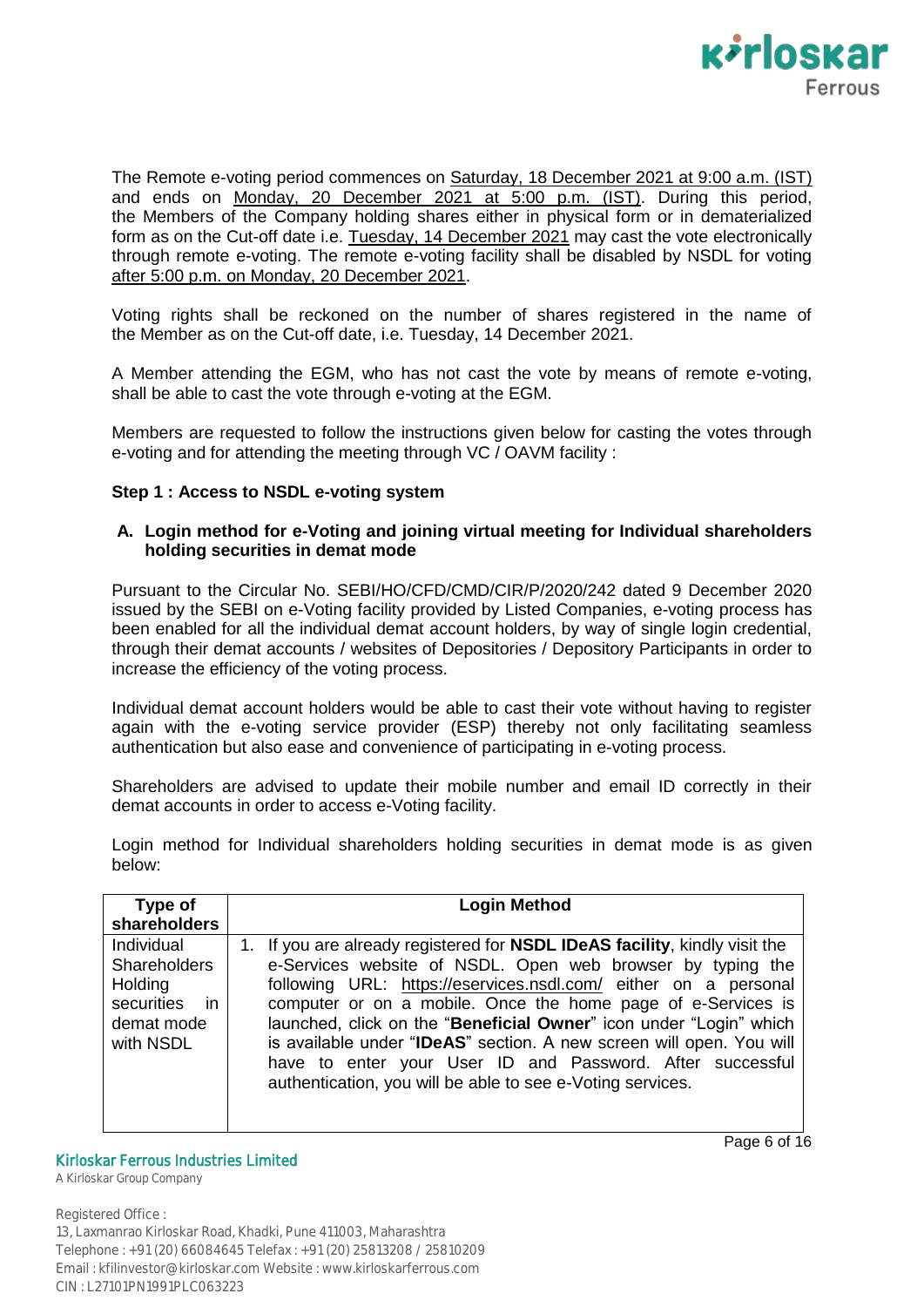

The Remote e-voting period commences on Saturday, 18 December 2021 at 9:00 a.m. (IST) and ends on Monday, 20 December 2021 at 5:00 p.m. (IST). During this period, the Members of the Company holding shares either in physical form or in dematerialized form as on the Cut-off date i.e. Tuesday, 14 December 2021 may cast the vote electronically through remote e-voting. The remote e-voting facility shall be disabled by NSDL for voting after 5:00 p.m. on Monday, 20 December 2021.

Voting rights shall be reckoned on the number of shares registered in the name of the Member as on the Cut-off date, i.e. Tuesday, 14 December 2021.

A Member attending the EGM, who has not cast the vote by means of remote e-voting, shall be able to cast the vote through e-voting at the EGM.

Members are requested to follow the instructions given below for casting the votes through e-voting and for attending the meeting through VC / OAVM facility :

## **Step 1 : Access to NSDL e-voting system**

# **A. Login method for e-Voting and joining virtual meeting for Individual shareholders holding securities in demat mode**

Pursuant to the Circular No. SEBI/HO/CFD/CMD/CIR/P/2020/242 dated 9 December 2020 issued by the SEBI on e-Voting facility provided by Listed Companies, e-voting process has been enabled for all the individual demat account holders, by way of single login credential, through their demat accounts / websites of Depositories / Depository Participants in order to increase the efficiency of the voting process.

Individual demat account holders would be able to cast their vote without having to register again with the e-voting service provider (ESP) thereby not only facilitating seamless authentication but also ease and convenience of participating in e-voting process.

Shareholders are advised to update their mobile number and email ID correctly in their demat accounts in order to access e-Voting facility.

Login method for Individual shareholders holding securities in demat mode is as given below:

| Type of                                                                                  | <b>Login Method</b>                                                                                                                                                                                                                                                                                                                                                                                                                                                                                                                                          |
|------------------------------------------------------------------------------------------|--------------------------------------------------------------------------------------------------------------------------------------------------------------------------------------------------------------------------------------------------------------------------------------------------------------------------------------------------------------------------------------------------------------------------------------------------------------------------------------------------------------------------------------------------------------|
| shareholders                                                                             |                                                                                                                                                                                                                                                                                                                                                                                                                                                                                                                                                              |
| Individual<br><b>Shareholders</b><br>Holding<br>securities in<br>demat mode<br>with NSDL | 1. If you are already registered for <b>NSDL IDeAS facility</b> , kindly visit the<br>e-Services website of NSDL. Open web browser by typing the<br>following URL: https://eservices.nsdl.com/ either on a personal<br>computer or on a mobile. Once the home page of e-Services is<br>launched, click on the "Beneficial Owner" icon under "Login" which<br>is available under "IDeAS" section. A new screen will open. You will<br>have to enter your User ID and Password. After successful<br>authentication, you will be able to see e-Voting services. |

## Kirloskar Ferrous Industries Limited

A Kirloskar Group Company

Registered Office :

13, Laxmanrao Kirloskar Road, Khadki, Pune 411003, Maharashtra Telephone : +91 (20) 66084645 Telefax : +91 (20) 25813208 / 25810209 Email : kfilinvestor@kirloskar.com Website : www.kirloskarferrous.com CIN : L27101PN1991PLC063223

Page 6 of 16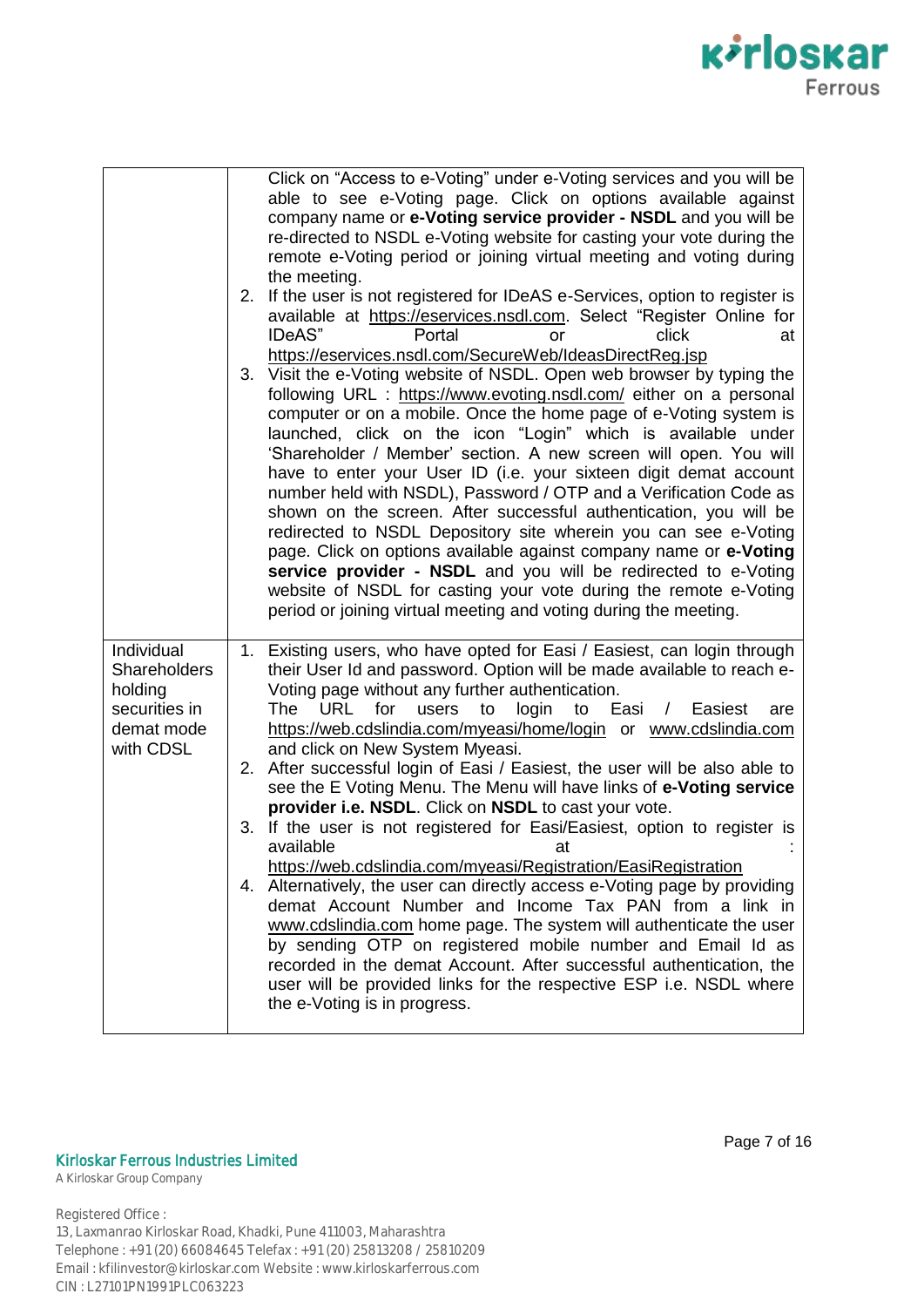

|                                                                                          | Click on "Access to e-Voting" under e-Voting services and you will be<br>able to see e-Voting page. Click on options available against<br>company name or e-Voting service provider - NSDL and you will be<br>re-directed to NSDL e-Voting website for casting your vote during the<br>remote e-Voting period or joining virtual meeting and voting during<br>the meeting.<br>2. If the user is not registered for IDeAS e-Services, option to register is<br>available at https://eservices.nsdl.com. Select "Register Online for<br>IDeAS"<br>Portal<br><b>click</b><br>at<br>or<br>https://eservices.nsdl.com/SecureWeb/IdeasDirectReg.jsp<br>3. Visit the e-Voting website of NSDL. Open web browser by typing the<br>following URL : https://www.evoting.nsdl.com/ either on a personal<br>computer or on a mobile. Once the home page of e-Voting system is<br>launched, click on the icon "Login" which is available under<br>'Shareholder / Member' section. A new screen will open. You will<br>have to enter your User ID (i.e. your sixteen digit demat account<br>number held with NSDL), Password / OTP and a Verification Code as<br>shown on the screen. After successful authentication, you will be<br>redirected to NSDL Depository site wherein you can see e-Voting<br>page. Click on options available against company name or e-Voting<br>service provider - NSDL and you will be redirected to e-Voting<br>website of NSDL for casting your vote during the remote e-Voting<br>period or joining virtual meeting and voting during the meeting. |
|------------------------------------------------------------------------------------------|------------------------------------------------------------------------------------------------------------------------------------------------------------------------------------------------------------------------------------------------------------------------------------------------------------------------------------------------------------------------------------------------------------------------------------------------------------------------------------------------------------------------------------------------------------------------------------------------------------------------------------------------------------------------------------------------------------------------------------------------------------------------------------------------------------------------------------------------------------------------------------------------------------------------------------------------------------------------------------------------------------------------------------------------------------------------------------------------------------------------------------------------------------------------------------------------------------------------------------------------------------------------------------------------------------------------------------------------------------------------------------------------------------------------------------------------------------------------------------------------------------------------------------------------------------------------|
| Individual<br><b>Shareholders</b><br>holding<br>securities in<br>demat mode<br>with CDSL | 1. Existing users, who have opted for Easi / Easiest, can login through<br>their User Id and password. Option will be made available to reach e-<br>Voting page without any further authentication.<br><b>URL</b><br>for<br>login<br>Easi<br>Easiest<br>The:<br>users<br>to<br>to<br>$\prime$<br>are<br>https://web.cdslindia.com/myeasi/home/login or www.cdslindia.com<br>and click on New System Myeasi.<br>2. After successful login of Easi / Easiest, the user will be also able to<br>see the E Voting Menu. The Menu will have links of e-Voting service<br>provider i.e. NSDL. Click on NSDL to cast your vote.<br>3. If the user is not registered for Easi/Easiest, option to register is<br>available<br>at<br>https://web.cdslindia.com/myeasi/Registration/EasiRegistration<br>4. Alternatively, the user can directly access e-Voting page by providing<br>demat Account Number and Income Tax PAN from a link in<br>www.cdslindia.com home page. The system will authenticate the user<br>by sending OTP on registered mobile number and Email Id as<br>recorded in the demat Account. After successful authentication, the<br>user will be provided links for the respective ESP i.e. NSDL where<br>the e-Voting is in progress.                                                                                                                                                                                                                                                                                                                      |

### Kirloskar Ferrous Industries Limited

A Kirloskar Group Company

Registered Office : 13, Laxmanrao Kirloskar Road, Khadki, Pune 411003, Maharashtra Telephone : +91 (20) 66084645 Telefax : +91 (20) 25813208 / 25810209 Email : kfilinvestor@kirloskar.com Website : www.kirloskarferrous.com CIN : L27101PN1991PLC063223

Page 7 of 16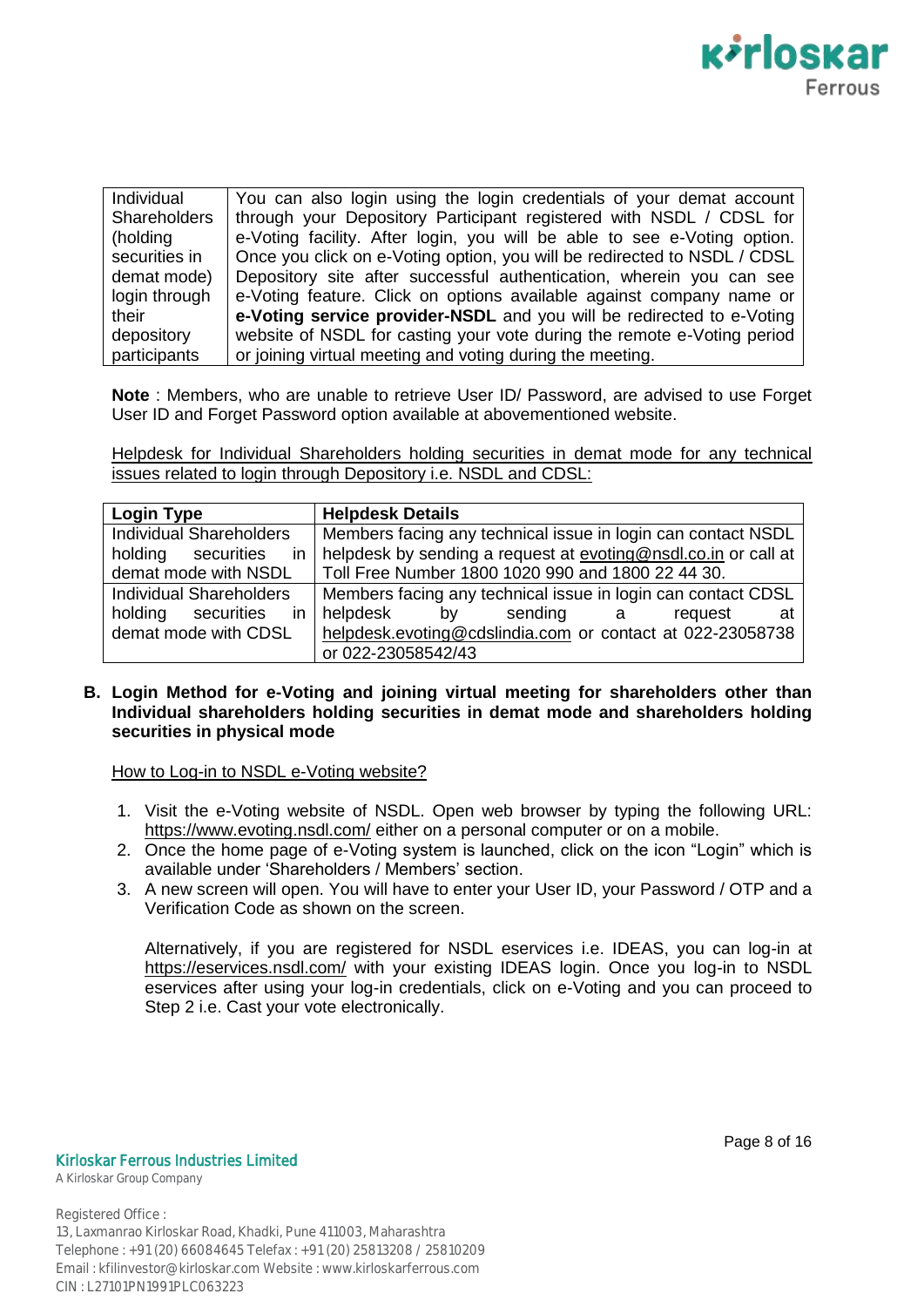

| Individual          | You can also login using the login credentials of your demat account     |
|---------------------|--------------------------------------------------------------------------|
| <b>Shareholders</b> | through your Depository Participant registered with NSDL / CDSL for      |
| (holding            | e-Voting facility. After login, you will be able to see e-Voting option. |
| securities in       | Once you click on e-Voting option, you will be redirected to NSDL / CDSL |
| demat mode)         | Depository site after successful authentication, wherein you can see     |
| login through       | e-Voting feature. Click on options available against company name or     |
| their               | e-Voting service provider-NSDL and you will be redirected to e-Voting    |
| depository          | website of NSDL for casting your vote during the remote e-Voting period  |
| participants        | or joining virtual meeting and voting during the meeting.                |

**Note** : Members, who are unable to retrieve User ID/ Password, are advised to use Forget User ID and Forget Password option available at abovementioned website.

Helpdesk for Individual Shareholders holding securities in demat mode for any technical issues related to login through Depository i.e. NSDL and CDSL:

| <b>Login Type</b>                                                                          | <b>Helpdesk Details</b>                                      |  |  |
|--------------------------------------------------------------------------------------------|--------------------------------------------------------------|--|--|
| <b>Individual Shareholders</b>                                                             | Members facing any technical issue in login can contact NSDL |  |  |
| helpdesk by sending a request at evoting@nsdl.co.in or call at<br>in<br>holding securities |                                                              |  |  |
| demat mode with NSDL                                                                       | Toll Free Number 1800 1020 990 and 1800 22 44 30.            |  |  |
| <b>Individual Shareholders</b>                                                             | Members facing any technical issue in login can contact CDSL |  |  |
|                                                                                            | holding securities in helpdesk by sending a<br>request<br>at |  |  |
| demat mode with CDSL                                                                       | helpdesk.evoting@cdslindia.com or contact at 022-23058738    |  |  |
|                                                                                            | or 022-23058542/43                                           |  |  |

## **B. Login Method for e-Voting and joining virtual meeting for shareholders other than Individual shareholders holding securities in demat mode and shareholders holding securities in physical mode**

How to Log-in to NSDL e-Voting website?

- 1. Visit the e-Voting website of NSDL. Open web browser by typing the following URL: https://www.evoting.nsdl.com/ either on a personal computer or on a mobile.
- 2. Once the home page of e-Voting system is launched, click on the icon "Login" which is available under "Shareholders / Members" section.
- 3. A new screen will open. You will have to enter your User ID, your Password / OTP and a Verification Code as shown on the screen.

Alternatively, if you are registered for NSDL eservices i.e. IDEAS, you can log-in at https://eservices.nsdl.com/ with your existing IDEAS login. Once you log-in to NSDL eservices after using your log-in credentials, click on e-Voting and you can proceed to Step 2 i.e. Cast your vote electronically.

Kirloskar Ferrous Industries Limited

A Kirloskar Group Company

Page 8 of 16

Registered Office : 13, Laxmanrao Kirloskar Road, Khadki, Pune 411003, Maharashtra Telephone : +91 (20) 66084645 Telefax : +91 (20) 25813208 / 25810209 Email : kfilinvestor@kirloskar.com Website : www.kirloskarferrous.com

CIN : L27101PN1991PLC063223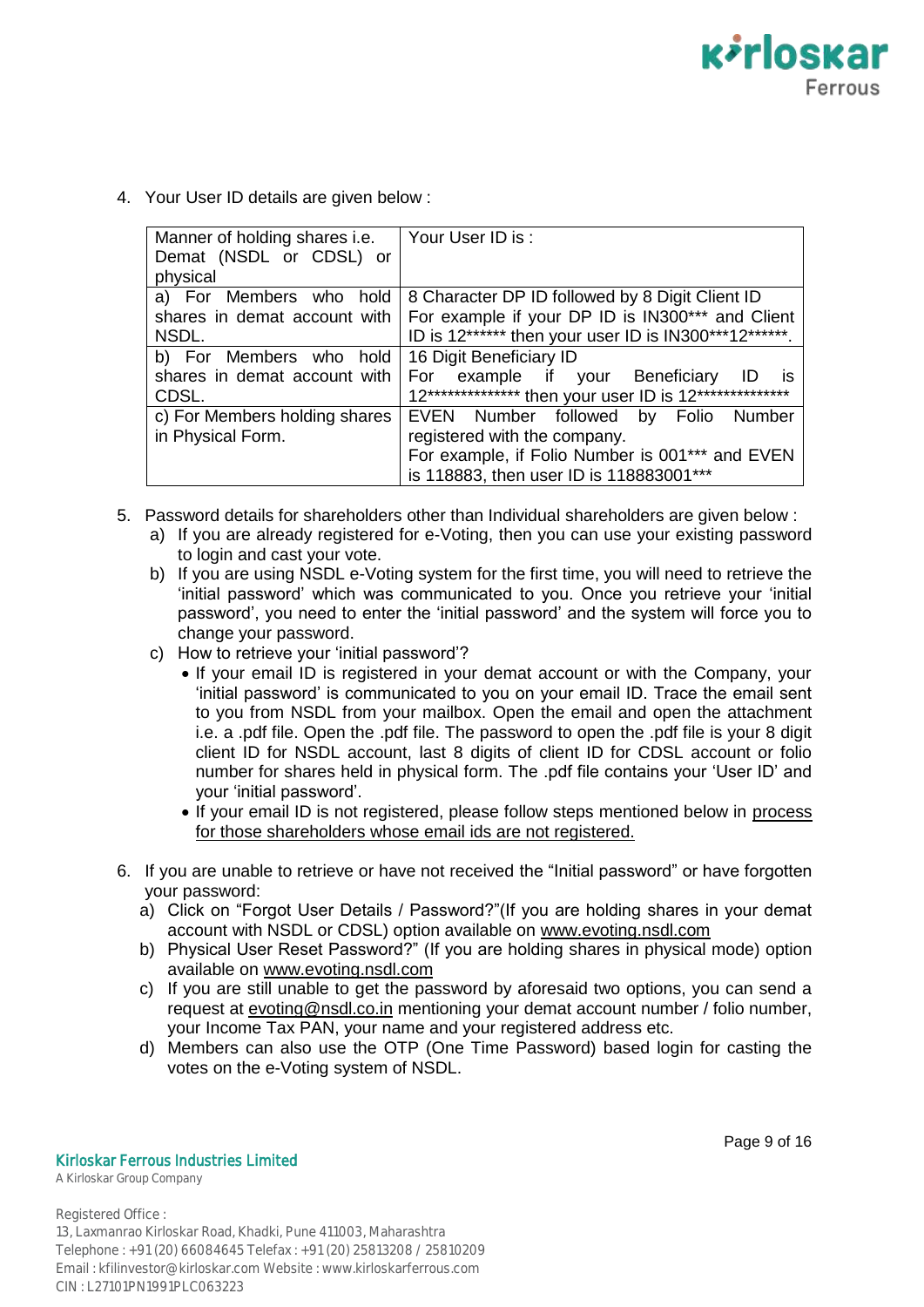**Kirloskar** Ferrous

4. Your User ID details are given below :

| Manner of holding shares i.e.<br>Demat (NSDL or CDSL) or<br>physical                        | Your User ID is:                                                                                                                                                                        |
|---------------------------------------------------------------------------------------------|-----------------------------------------------------------------------------------------------------------------------------------------------------------------------------------------|
| a) For Members who hold<br>shares in demat account with<br>NSDL.<br>b) For Members who hold | 8 Character DP ID followed by 8 Digit Client ID<br>For example if your DP ID is IN300*** and Client<br>ID is 12****** then your user ID is IN300***12******.<br>16 Digit Beneficiary ID |
| shares in demat account with<br>CDSL.                                                       | For<br>example if your Beneficiary<br>- ID<br><b>is</b><br>12*************** then your user ID is 12***************                                                                     |
| c) For Members holding shares<br>in Physical Form.                                          | EVEN Number followed by Folio Number<br>registered with the company.<br>For example, if Folio Number is 001*** and EVEN<br>is 118883, then user ID is 118883001***                      |

- 5. Password details for shareholders other than Individual shareholders are given below :
	- a) If you are already registered for e-Voting, then you can use your existing password to login and cast your vote.
	- b) If you are using NSDL e-Voting system for the first time, you will need to retrieve the "initial password" which was communicated to you. Once you retrieve your "initial password", you need to enter the "initial password" and the system will force you to change your password.
	- c) How to retrieve your 'initial password'?
		- If your email ID is registered in your demat account or with the Company, your "initial password" is communicated to you on your email ID. Trace the email sent to you from NSDL from your mailbox. Open the email and open the attachment i.e. a .pdf file. Open the .pdf file. The password to open the .pdf file is your 8 digit client ID for NSDL account, last 8 digits of client ID for CDSL account or folio number for shares held in physical form. The .pdf file contains your "User ID" and your "initial password".
		- If your email ID is not registered, please follow steps mentioned below in process for those shareholders whose email ids are not registered.
- 6. If you are unable to retrieve or have not received the "Initial password" or have forgotten your password:
	- a) Click on "Forgot User Details / Password?"(If you are holding shares in your demat account with NSDL or CDSL) option available on www.evoting.nsdl.com
	- b) Physical User Reset Password?" (If you are holding shares in physical mode) option available on www.evoting.nsdl.com
	- c) If you are still unable to get the password by aforesaid two options, you can send a request at evoting@nsdl.co.in mentioning your demat account number / folio number, your Income Tax PAN, your name and your registered address etc.
	- d) Members can also use the OTP (One Time Password) based login for casting the votes on the e-Voting system of NSDL.

Kirloskar Ferrous Industries Limited

A Kirloskar Group Company

Registered Office :

13, Laxmanrao Kirloskar Road, Khadki, Pune 411003, Maharashtra Telephone : +91 (20) 66084645 Telefax : +91 (20) 25813208 / 25810209 Email : kfilinvestor@kirloskar.com Website : www.kirloskarferrous.com CIN : L27101PN1991PLC063223

Page 9 of 16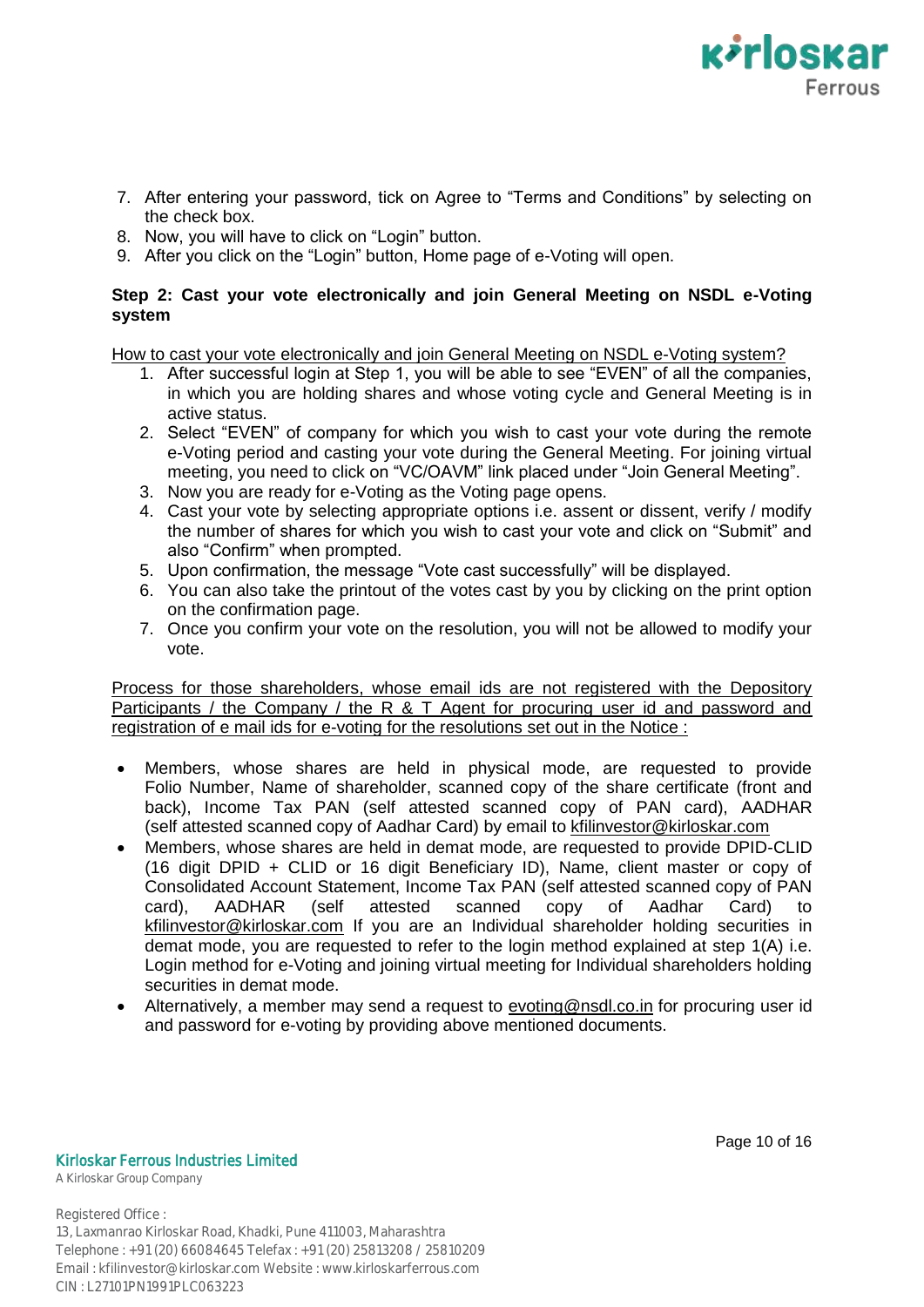

- 7. After entering your password, tick on Agree to "Terms and Conditions" by selecting on the check box.
- 8. Now, you will have to click on "Login" button.
- 9. After you click on the "Login" button, Home page of e-Voting will open.

# **Step 2: Cast your vote electronically and join General Meeting on NSDL e-Voting system**

How to cast your vote electronically and join General Meeting on NSDL e-Voting system?

- 1. After successful login at Step 1, you will be able to see "EVEN" of all the companies, in which you are holding shares and whose voting cycle and General Meeting is in active status.
- 2. Select "EVEN" of company for which you wish to cast your vote during the remote e-Voting period and casting your vote during the General Meeting. For joining virtual meeting, you need to click on "VC/OAVM" link placed under "Join General Meeting".
- 3. Now you are ready for e-Voting as the Voting page opens.
- 4. Cast your vote by selecting appropriate options i.e. assent or dissent, verify / modify the number of shares for which you wish to cast your vote and click on "Submit" and also "Confirm" when prompted.
- 5. Upon confirmation, the message "Vote cast successfully" will be displayed.
- 6. You can also take the printout of the votes cast by you by clicking on the print option on the confirmation page.
- 7. Once you confirm your vote on the resolution, you will not be allowed to modify your vote.

Process for those shareholders, whose email ids are not registered with the Depository Participants / the Company / the R & T Agent for procuring user id and password and registration of e mail ids for e-voting for the resolutions set out in the Notice :

- Members, whose shares are held in physical mode, are requested to provide Folio Number, Name of shareholder, scanned copy of the share certificate (front and back), Income Tax PAN (self attested scanned copy of PAN card), AADHAR (self attested scanned copy of Aadhar Card) by email to kfilinvestor@kirloskar.com
- Members, whose shares are held in demat mode, are requested to provide DPID-CLID (16 digit DPID + CLID or 16 digit Beneficiary ID), Name, client master or copy of Consolidated Account Statement, Income Tax PAN (self attested scanned copy of PAN card), AADHAR (self attested scanned copy of Aadhar Card) to kfilinvestor@kirloskar.com If you are an Individual shareholder holding securities in demat mode, you are requested to refer to the login method explained at step 1(A) i.e. Login method for e-Voting and joining virtual meeting for Individual shareholders holding securities in demat mode.
- Alternatively, a member may send a request to evoting@nsdl.co.in for procuring user id and password for e-voting by providing above mentioned documents.

Kirloskar Ferrous Industries Limited

A Kirloskar Group Company

Page 10 of 16

Registered Office :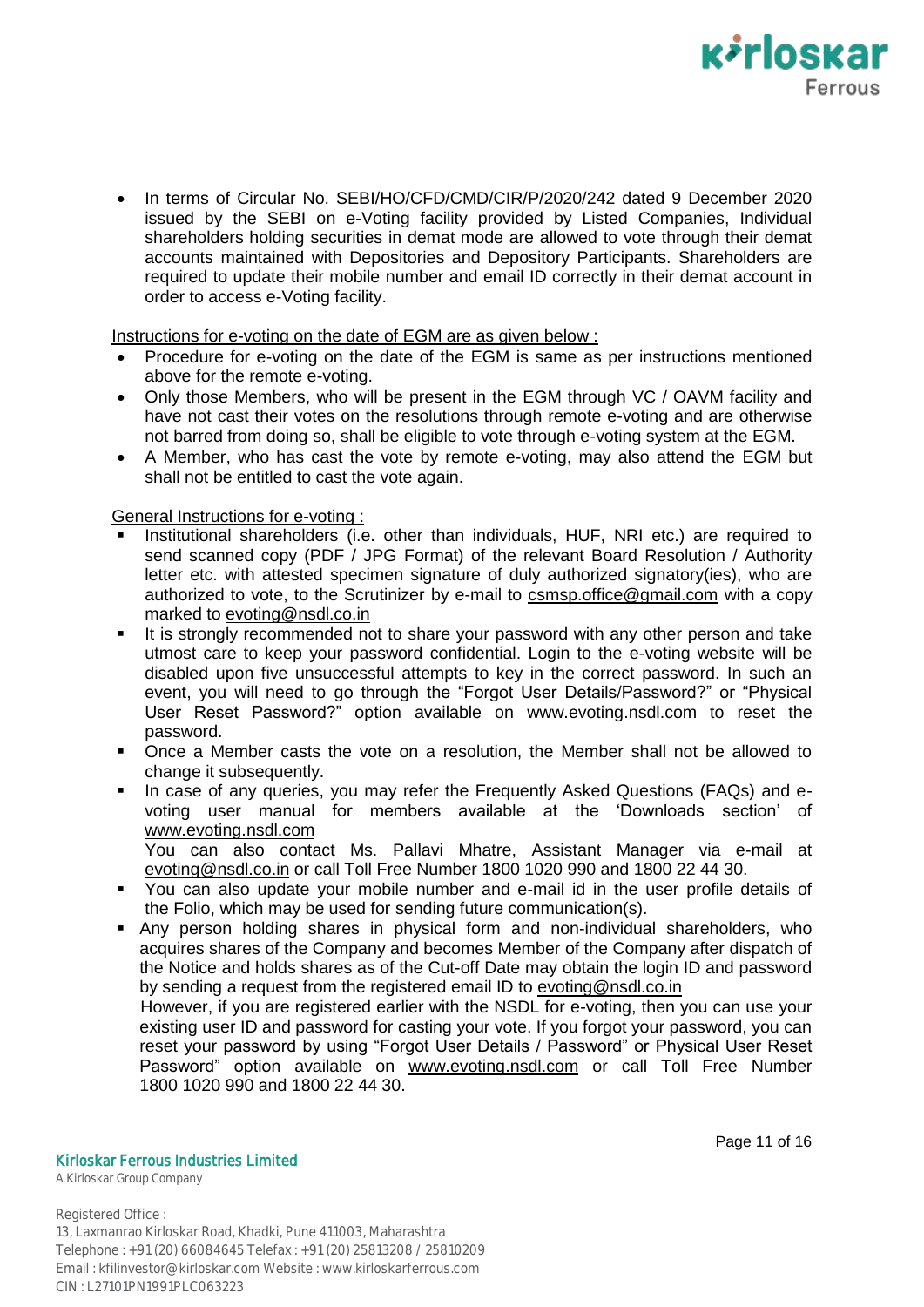

 In terms of Circular No. SEBI/HO/CFD/CMD/CIR/P/2020/242 dated 9 December 2020 issued by the SEBI on e-Voting facility provided by Listed Companies, Individual shareholders holding securities in demat mode are allowed to vote through their demat accounts maintained with Depositories and Depository Participants. Shareholders are required to update their mobile number and email ID correctly in their demat account in order to access e-Voting facility.

Instructions for e-voting on the date of EGM are as given below :

- Procedure for e-voting on the date of the EGM is same as per instructions mentioned above for the remote e-voting.
- Only those Members, who will be present in the EGM through VC / OAVM facility and have not cast their votes on the resolutions through remote e-voting and are otherwise not barred from doing so, shall be eligible to vote through e-voting system at the EGM.
- A Member, who has cast the vote by remote e-voting, may also attend the EGM but shall not be entitled to cast the vote again.

General Instructions for e-voting :

- Institutional shareholders (i.e. other than individuals, HUF, NRI etc.) are required to send scanned copy (PDF / JPG Format) of the relevant Board Resolution / Authority letter etc. with attested specimen signature of duly authorized signatory(ies), who are authorized to vote, to the Scrutinizer by e-mail to csmsp.office@gmail.com with a copy marked to evoting@nsdl.co.in
- It is strongly recommended not to share your password with any other person and take utmost care to keep your password confidential. Login to the e-voting website will be disabled upon five unsuccessful attempts to key in the correct password. In such an event, you will need to go through the "Forgot User Details/Password?" or "Physical User Reset Password?" option available on www.evoting.nsdl.com to reset the password.
- Once a Member casts the vote on a resolution, the Member shall not be allowed to change it subsequently.
- In case of any queries, you may refer the Frequently Asked Questions (FAQs) and evoting user manual for members available at the "Downloads section" of www.evoting.nsdl.com

You can also contact Ms. Pallavi Mhatre, Assistant Manager via e-mail at evoting@nsdl.co.in or call Toll Free Number 1800 1020 990 and 1800 22 44 30.

- You can also update your mobile number and e-mail id in the user profile details of the Folio, which may be used for sending future communication(s).
- Any person holding shares in physical form and non-individual shareholders, who acquires shares of the Company and becomes Member of the Company after dispatch of the Notice and holds shares as of the Cut-off Date may obtain the login ID and password by sending a request from the registered email ID to evoting@nsdl.co.in

 However, if you are registered earlier with the NSDL for e-voting, then you can use your existing user ID and password for casting your vote. If you forgot your password, you can reset your password by using "Forgot User Details / Password" or Physical User Reset Password" option available on www.evoting.nsdl.com or call Toll Free Number 1800 1020 990 and 1800 22 44 30.

Page 11 of 16

Kirloskar Ferrous Industries Limited

A Kirloskar Group Company

Registered Office :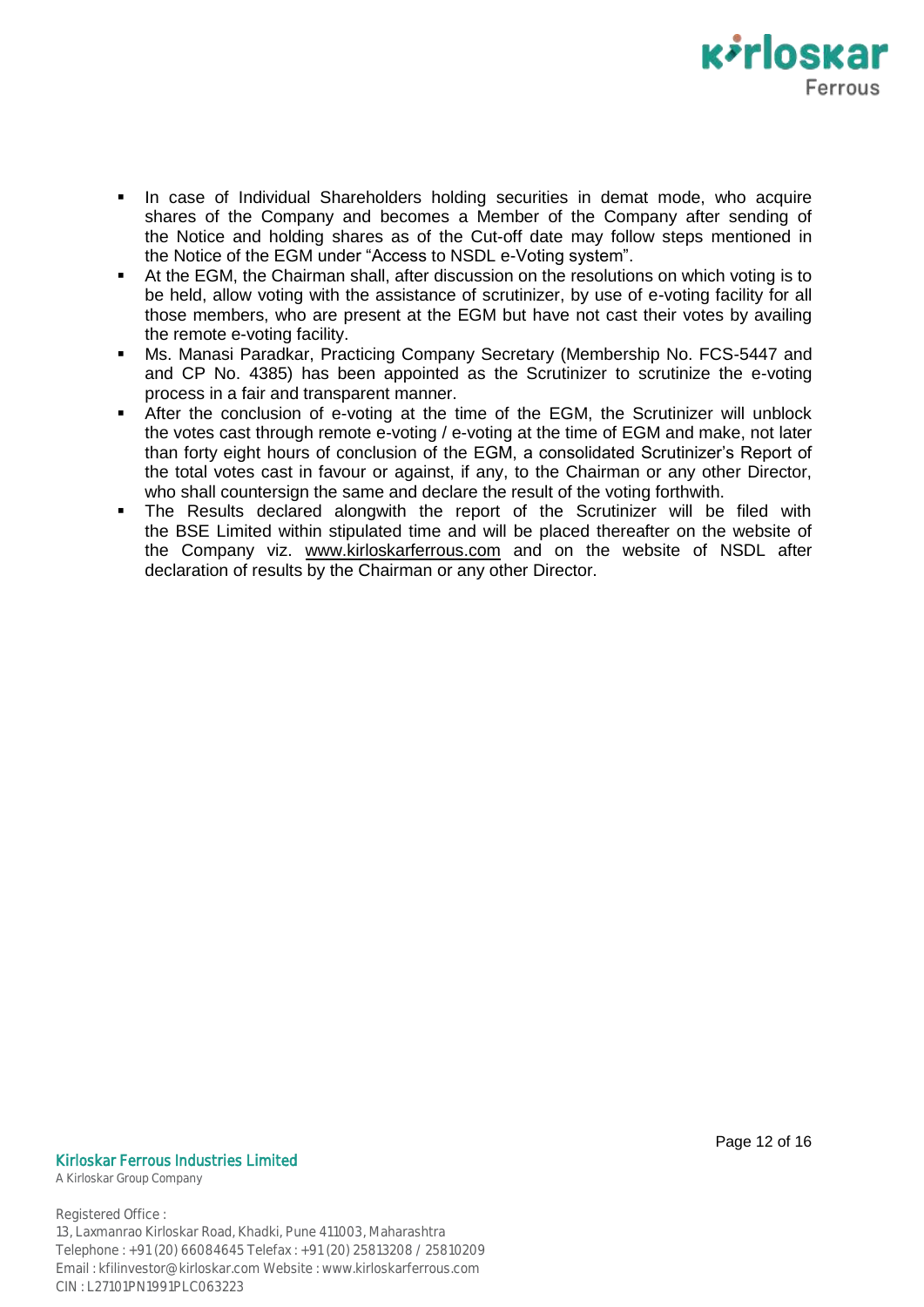

- In case of Individual Shareholders holding securities in demat mode, who acquire shares of the Company and becomes a Member of the Company after sending of the Notice and holding shares as of the Cut-off date may follow steps mentioned in the Notice of the EGM under "Access to NSDL e-Voting system".
- At the EGM, the Chairman shall, after discussion on the resolutions on which voting is to be held, allow voting with the assistance of scrutinizer, by use of e-voting facility for all those members, who are present at the EGM but have not cast their votes by availing the remote e-voting facility.
- Ms. Manasi Paradkar, Practicing Company Secretary (Membership No. FCS-5447 and and CP No. 4385) has been appointed as the Scrutinizer to scrutinize the e-voting process in a fair and transparent manner.
- After the conclusion of e-voting at the time of the EGM, the Scrutinizer will unblock the votes cast through remote e-voting / e-voting at the time of EGM and make, not later than forty eight hours of conclusion of the EGM, a consolidated Scrutinizer"s Report of the total votes cast in favour or against, if any, to the Chairman or any other Director, who shall countersign the same and declare the result of the voting forthwith.
- The Results declared alongwith the report of the Scrutinizer will be filed with the BSE Limited within stipulated time and will be placed thereafter on the website of the Company viz. www.kirloskarferrous.com and on the website of NSDL after declaration of results by the Chairman or any other Director.

#### Kirloskar Ferrous Industries Limited

A Kirloskar Group Company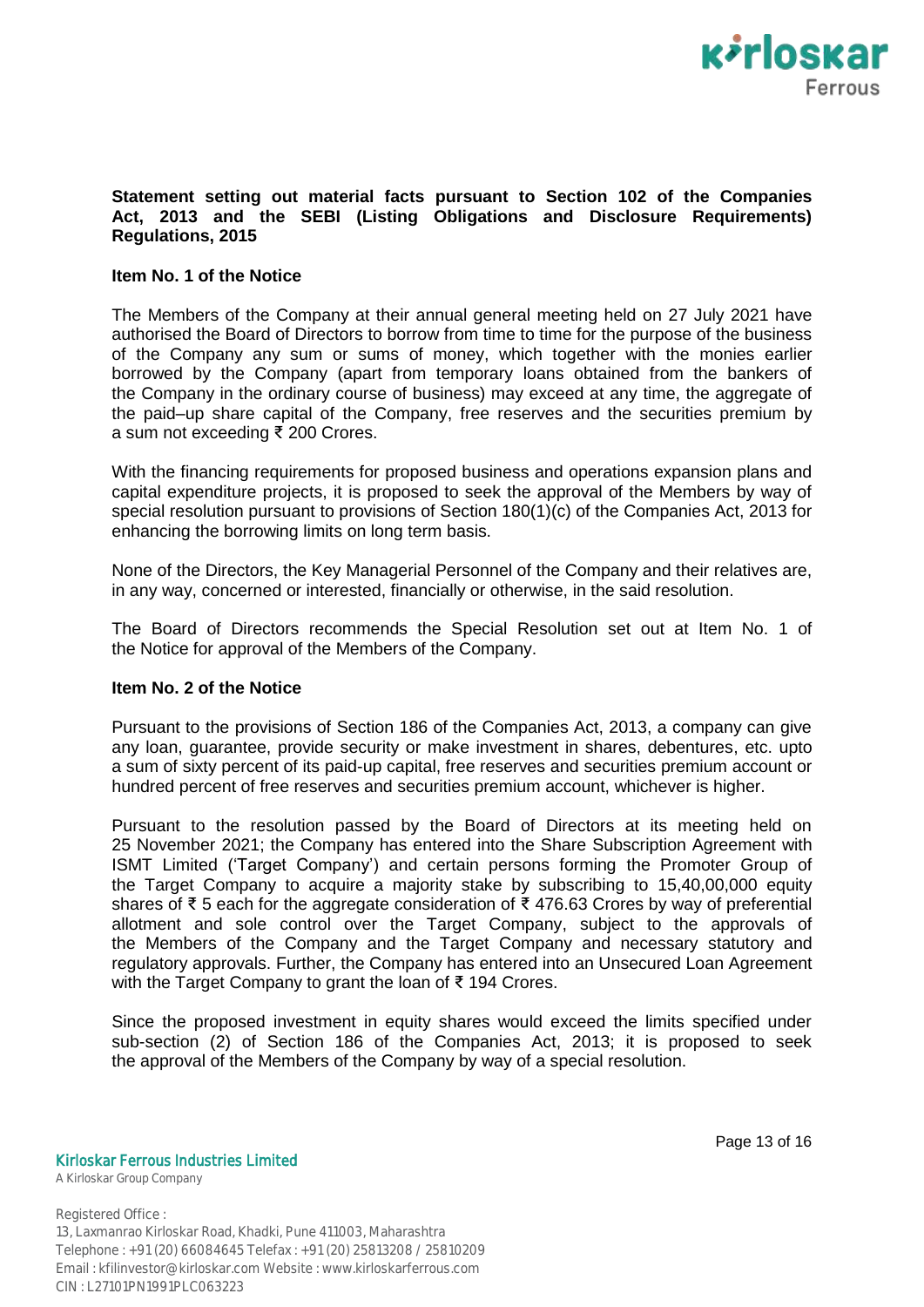

## **Statement setting out material facts pursuant to Section 102 of the Companies Act, 2013 and the SEBI (Listing Obligations and Disclosure Requirements) Regulations, 2015**

### **Item No. 1 of the Notice**

The Members of the Company at their annual general meeting held on 27 July 2021 have authorised the Board of Directors to borrow from time to time for the purpose of the business of the Company any sum or sums of money, which together with the monies earlier borrowed by the Company (apart from temporary loans obtained from the bankers of the Company in the ordinary course of business) may exceed at any time, the aggregate of the paid–up share capital of the Company, free reserves and the securities premium by a sum not exceeding ₹ 200 Crores.

With the financing requirements for proposed business and operations expansion plans and capital expenditure projects, it is proposed to seek the approval of the Members by way of special resolution pursuant to provisions of Section 180(1)(c) of the Companies Act, 2013 for enhancing the borrowing limits on long term basis.

None of the Directors, the Key Managerial Personnel of the Company and their relatives are, in any way, concerned or interested, financially or otherwise, in the said resolution.

The Board of Directors recommends the Special Resolution set out at Item No. 1 of the Notice for approval of the Members of the Company.

#### **Item No. 2 of the Notice**

Pursuant to the provisions of Section 186 of the Companies Act, 2013, a company can give any loan, guarantee, provide security or make investment in shares, debentures, etc. upto a sum of sixty percent of its paid-up capital, free reserves and securities premium account or hundred percent of free reserves and securities premium account, whichever is higher.

Pursuant to the resolution passed by the Board of Directors at its meeting held on 25 November 2021; the Company has entered into the Share Subscription Agreement with ISMT Limited ("Target Company") and certain persons forming the Promoter Group of the Target Company to acquire a majority stake by subscribing to 15,40,00,000 equity shares of ₹ 5 each for the aggregate consideration of ₹ 476.63 Crores by way of preferential allotment and sole control over the Target Company, subject to the approvals of the Members of the Company and the Target Company and necessary statutory and regulatory approvals. Further, the Company has entered into an Unsecured Loan Agreement with the Target Company to grant the loan of ₹ 194 Crores.

Since the proposed investment in equity shares would exceed the limits specified under sub-section (2) of Section 186 of the Companies Act, 2013; it is proposed to seek the approval of the Members of the Company by way of a special resolution.

Page 13 of 16

#### Kirloskar Ferrous Industries Limited

A Kirloskar Group Company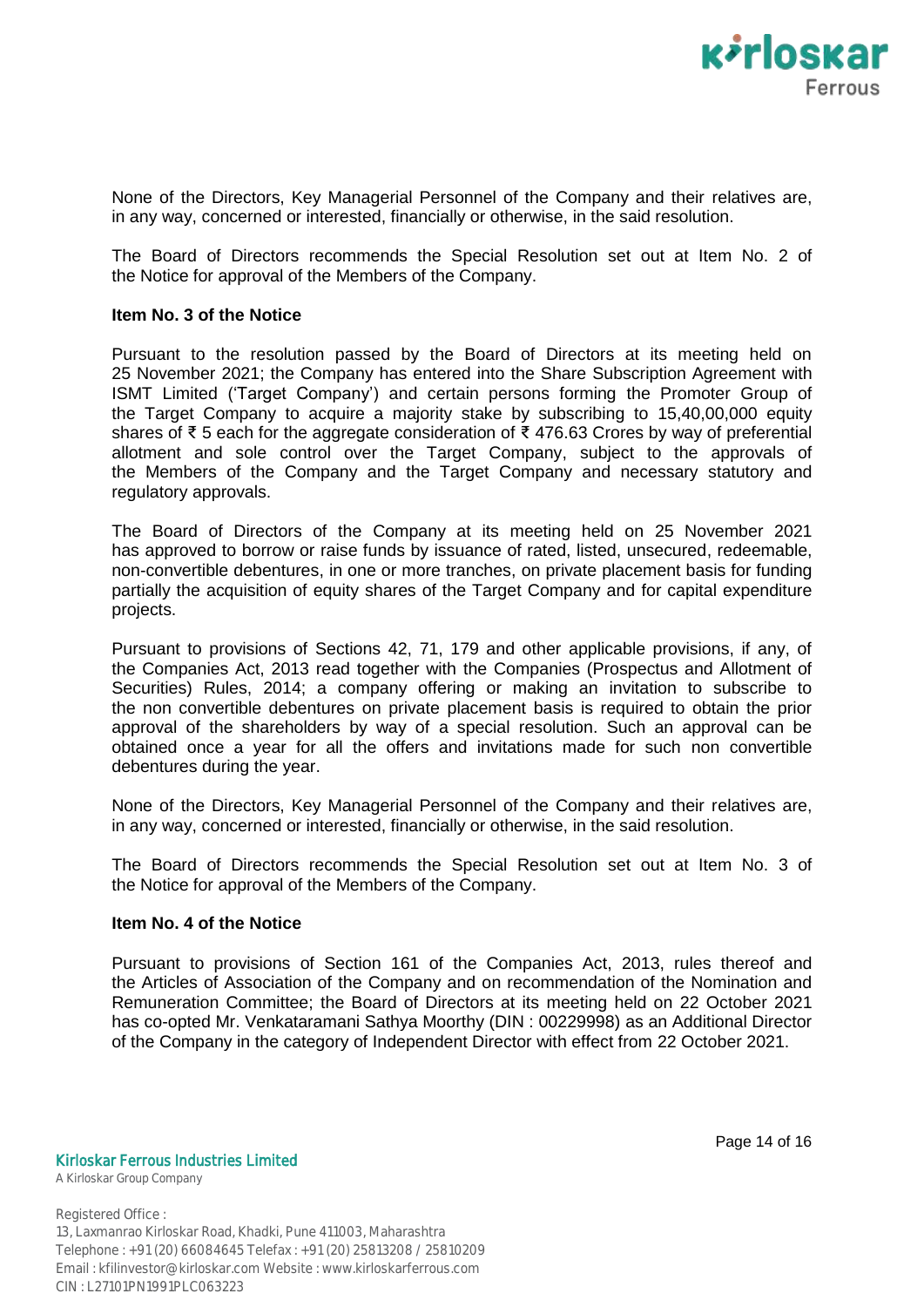

None of the Directors, Key Managerial Personnel of the Company and their relatives are, in any way, concerned or interested, financially or otherwise, in the said resolution.

The Board of Directors recommends the Special Resolution set out at Item No. 2 of the Notice for approval of the Members of the Company.

## **Item No. 3 of the Notice**

Pursuant to the resolution passed by the Board of Directors at its meeting held on 25 November 2021; the Company has entered into the Share Subscription Agreement with ISMT Limited ("Target Company") and certain persons forming the Promoter Group of the Target Company to acquire a majority stake by subscribing to 15,40,00,000 equity shares of ₹ 5 each for the aggregate consideration of ₹ 476.63 Crores by way of preferential allotment and sole control over the Target Company, subject to the approvals of the Members of the Company and the Target Company and necessary statutory and regulatory approvals.

The Board of Directors of the Company at its meeting held on 25 November 2021 has approved to borrow or raise funds by issuance of rated, listed, unsecured, redeemable, non-convertible debentures, in one or more tranches, on private placement basis for funding partially the acquisition of equity shares of the Target Company and for capital expenditure projects.

Pursuant to provisions of Sections 42, 71, 179 and other applicable provisions, if any, of the Companies Act, 2013 read together with the Companies (Prospectus and Allotment of Securities) Rules, 2014; a company offering or making an invitation to subscribe to the non convertible debentures on private placement basis is required to obtain the prior approval of the shareholders by way of a special resolution. Such an approval can be obtained once a year for all the offers and invitations made for such non convertible debentures during the year.

None of the Directors, Key Managerial Personnel of the Company and their relatives are, in any way, concerned or interested, financially or otherwise, in the said resolution.

The Board of Directors recommends the Special Resolution set out at Item No. 3 of the Notice for approval of the Members of the Company.

#### **Item No. 4 of the Notice**

Pursuant to provisions of Section 161 of the Companies Act, 2013, rules thereof and the Articles of Association of the Company and on recommendation of the Nomination and Remuneration Committee; the Board of Directors at its meeting held on 22 October 2021 has co-opted Mr. Venkataramani Sathya Moorthy (DIN : 00229998) as an Additional Director of the Company in the category of Independent Director with effect from 22 October 2021.

Kirloskar Ferrous Industries Limited

A Kirloskar Group Company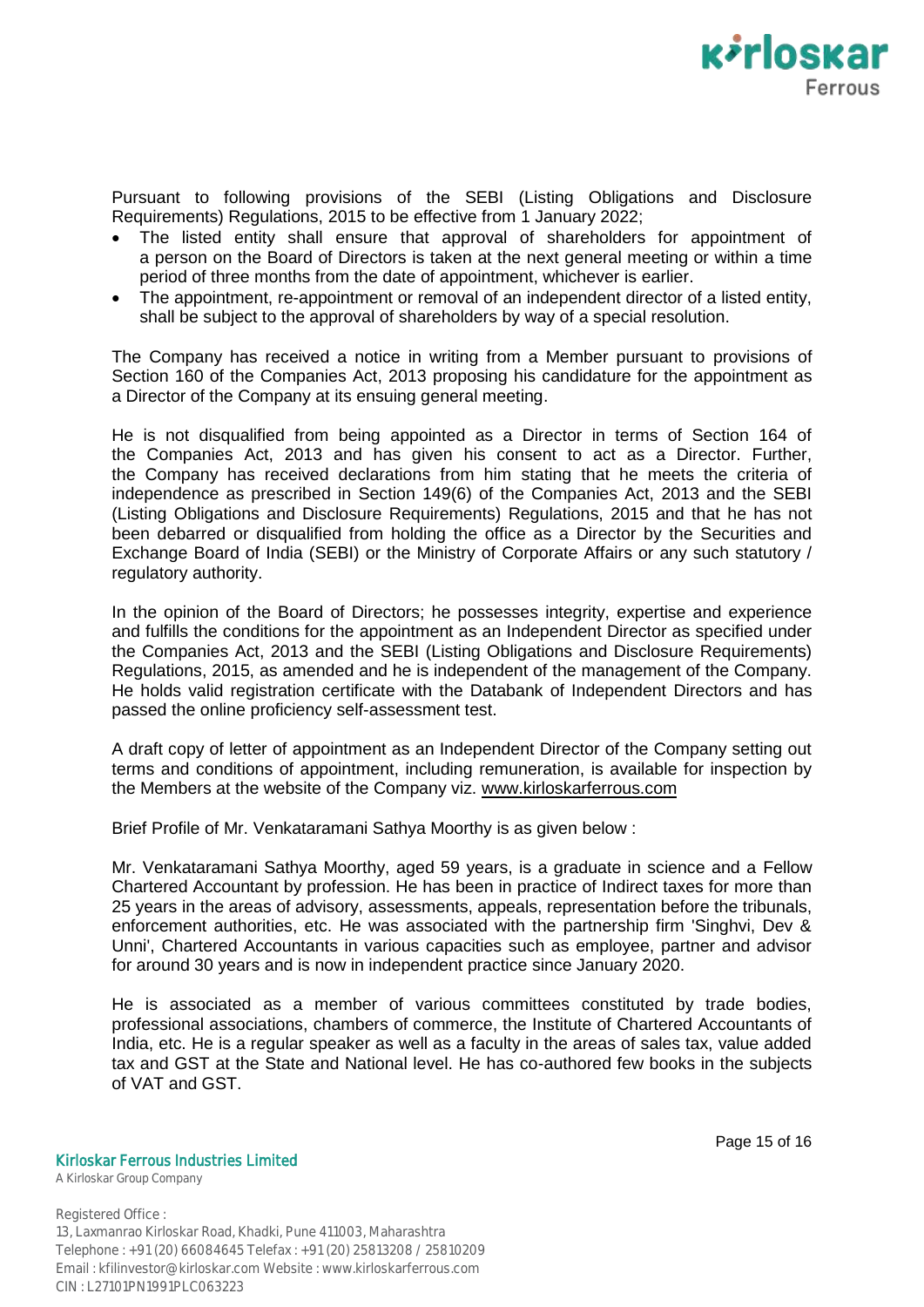

Pursuant to following provisions of the SEBI (Listing Obligations and Disclosure Requirements) Regulations, 2015 to be effective from 1 January 2022;

- The listed entity shall ensure that approval of shareholders for appointment of a person on the Board of Directors is taken at the next general meeting or within a time period of three months from the date of appointment, whichever is earlier.
- The appointment, re-appointment or removal of an independent director of a listed entity, shall be subject to the approval of shareholders by way of a special resolution.

The Company has received a notice in writing from a Member pursuant to provisions of Section 160 of the Companies Act, 2013 proposing his candidature for the appointment as a Director of the Company at its ensuing general meeting.

He is not disqualified from being appointed as a Director in terms of Section 164 of the Companies Act, 2013 and has given his consent to act as a Director. Further, the Company has received declarations from him stating that he meets the criteria of independence as prescribed in Section 149(6) of the Companies Act, 2013 and the SEBI (Listing Obligations and Disclosure Requirements) Regulations, 2015 and that he has not been debarred or disqualified from holding the office as a Director by the Securities and Exchange Board of India (SEBI) or the Ministry of Corporate Affairs or any such statutory / regulatory authority.

In the opinion of the Board of Directors; he possesses integrity, expertise and experience and fulfills the conditions for the appointment as an Independent Director as specified under the Companies Act, 2013 and the SEBI (Listing Obligations and Disclosure Requirements) Regulations, 2015, as amended and he is independent of the management of the Company. He holds valid registration certificate with the Databank of Independent Directors and has passed the online proficiency self-assessment test.

A draft copy of letter of appointment as an Independent Director of the Company setting out terms and conditions of appointment, including remuneration, is available for inspection by the Members at the website of the Company viz. www.kirloskarferrous.com

Brief Profile of Mr. Venkataramani Sathya Moorthy is as given below :

Mr. Venkataramani Sathya Moorthy, aged 59 years, is a graduate in science and a Fellow Chartered Accountant by profession. He has been in practice of Indirect taxes for more than 25 years in the areas of advisory, assessments, appeals, representation before the tribunals, enforcement authorities, etc. He was associated with the partnership firm 'Singhvi, Dev & Unni', Chartered Accountants in various capacities such as employee, partner and advisor for around 30 years and is now in independent practice since January 2020.

He is associated as a member of various committees constituted by trade bodies, professional associations, chambers of commerce, the Institute of Chartered Accountants of India, etc. He is a regular speaker as well as a faculty in the areas of sales tax, value added tax and GST at the State and National level. He has co-authored few books in the subjects of VAT and GST.

#### Kirloskar Ferrous Industries Limited

A Kirloskar Group Company